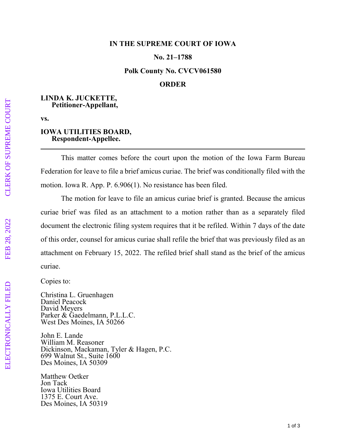### **IN THE SUPREME COURT OF IOWA**

## **No. 21–1788**

#### **Polk County No. CVCV061580**

# **ORDER**

## **LINDA K. JUCKETTE, Petitioner-Appellant,**

**vs.** 

#### **IOWA UTILITIES BOARD, Respondent-Appellee.**

This matter comes before the court upon the motion of the Iowa Farm Bureau Federation for leave to file a brief amicus curiae. The brief was conditionally filed with the motion. Iowa R. App. P. 6.906(1). No resistance has been filed.

The motion for leave to file an amicus curiae brief is granted. Because the amicus curiae brief was filed as an attachment to a motion rather than as a separately filed document the electronic filing system requires that it be refiled. Within 7 days of the date of this order, counsel for amicus curiae shall refile the brief that was previously filed as an attachment on February 15, 2022. The refiled brief shall stand as the brief of the amicus curiae.

Copies to:

Christina L. Gruenhagen Daniel Peacock David Meyers Parker & Gaedelmann, P.L.L.C. West Des Moines, IA 50266

John E. Lande William M. Reasoner Dickinson, Mackaman, Tyler & Hagen, P.C. 699 Walnut St., Suite 1600 Des Moines, IA 50309

Matthew Oetker Jon Tack Iowa Utilities Board 1375 E. Court Ave. Des Moines, IA 50319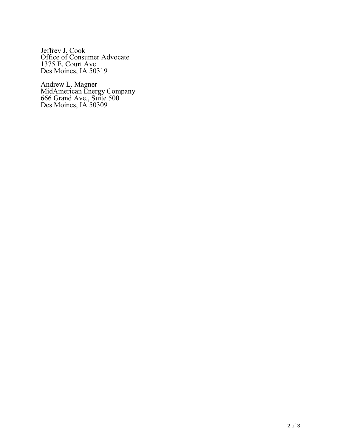Jeffrey J. Cook Office of Consumer Advocate 1375 E. Court Ave. Des Moines, IA 50319

Andrew L. Magner MidAmerican Energy Company 666 Grand Ave., Suite 500 Des Moines, IA 50309